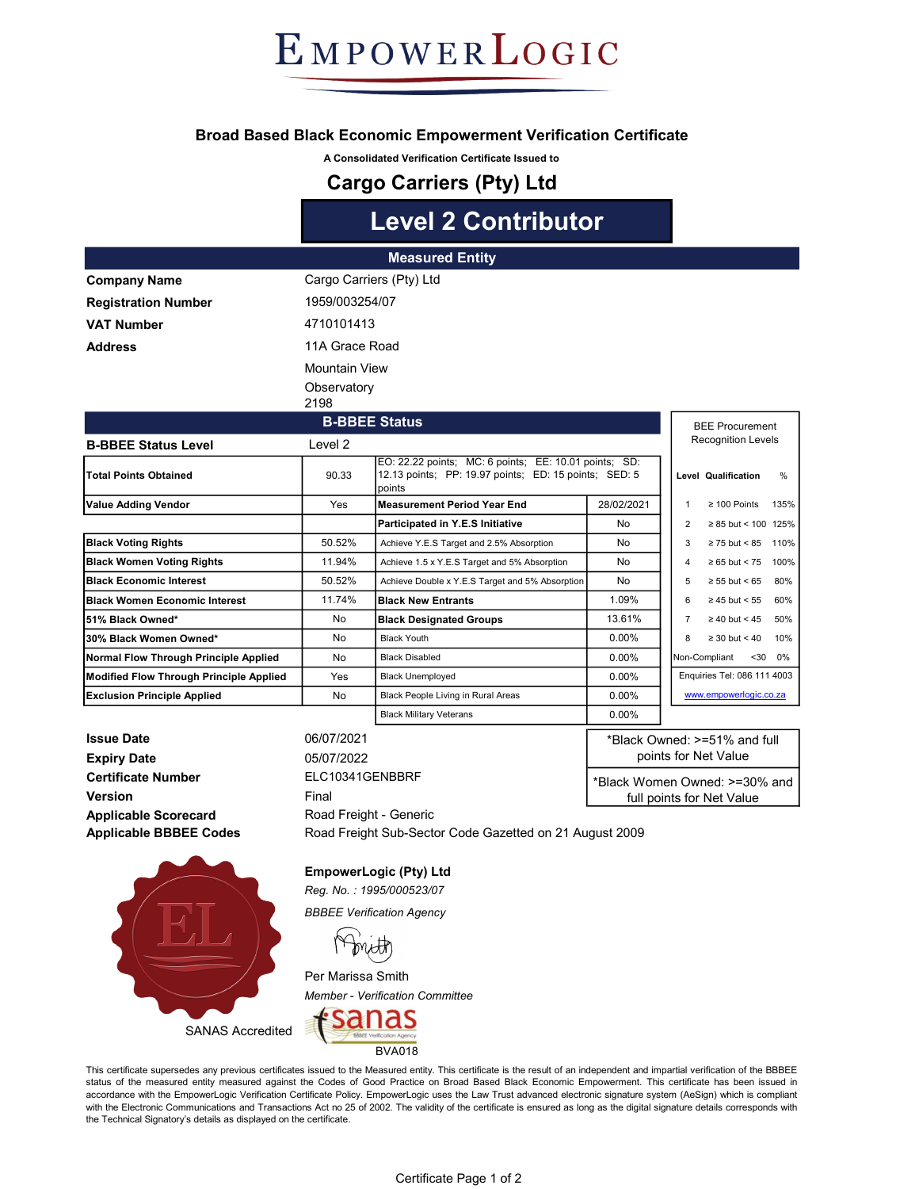EMPOWERLOGIC

#### Broad Based Black Economic Empowerment Verification Certificate

A Consolidated Verification Certificate Issued to

### Cargo Carriers (Pty) Ltd

# Level 2 Contributor

|                                         |                          | <b>Measured Entity</b>                                                                                                   |                               |                             |                              |          |
|-----------------------------------------|--------------------------|--------------------------------------------------------------------------------------------------------------------------|-------------------------------|-----------------------------|------------------------------|----------|
| <b>Company Name</b>                     | Cargo Carriers (Pty) Ltd |                                                                                                                          |                               |                             |                              |          |
| <b>Registration Number</b>              | 1959/003254/07           |                                                                                                                          |                               |                             |                              |          |
| <b>VAT Number</b>                       | 4710101413               |                                                                                                                          |                               |                             |                              |          |
| <b>Address</b>                          | 11A Grace Road           |                                                                                                                          |                               |                             |                              |          |
|                                         |                          |                                                                                                                          |                               |                             |                              |          |
|                                         | <b>Mountain View</b>     |                                                                                                                          |                               |                             |                              |          |
|                                         | Observatory              |                                                                                                                          |                               |                             |                              |          |
|                                         | 2198                     |                                                                                                                          |                               |                             |                              |          |
|                                         | <b>B-BBEE Status</b>     |                                                                                                                          |                               | <b>BEE Procurement</b>      |                              |          |
| <b>B-BBEE Status Level</b>              | Level 2                  |                                                                                                                          |                               |                             | <b>Recognition Levels</b>    |          |
| <b>Total Points Obtained</b>            | 90.33                    | EO: 22.22 points; MC: 6 points; EE: 10.01 points; SD:<br>12.13 points; PP: 19.97 points; ED: 15 points; SED: 5<br>points |                               |                             | Level Qualification          | $\%$     |
| Value Adding Vendor                     | Yes                      | <b>Measurement Period Year End</b>                                                                                       | 28/02/2021                    | $\mathbf{1}$                | $\geq 100$ Points            | 135%     |
|                                         |                          | Participated in Y.E.S Initiative                                                                                         | No                            | $\overline{2}$              | $\geq 85$ but < 100 125%     |          |
| <b>Black Voting Rights</b>              | 50.52%                   | Achieve Y.E.S Target and 2.5% Absorption                                                                                 | No                            | 3                           | $\geq$ 75 but < 85 110%      |          |
| <b>Black Women Voting Rights</b>        | 11.94%                   | Achieve 1.5 x Y.E.S Target and 5% Absorption                                                                             | No                            | 4                           | $\geq 65$ but < 75 100%      |          |
| <b>Black Economic Interest</b>          | 50.52%                   | Achieve Double x Y.E.S Target and 5% Absorption                                                                          | No                            | 5                           | $\geq 55$ but < 65           | 80%      |
| Black Women Economic Interest           | 11.74%                   | <b>Black New Entrants</b>                                                                                                | 1.09%                         | 6                           | $\geq 45$ but < 55 60%       |          |
| 51% Black Owned*                        | No                       | <b>Black Designated Groups</b>                                                                                           | 13.61%                        | $\overline{7}$              | $\geq 40$ but < 45 50%       |          |
| 30% Black Women Owned*                  | No                       | <b>Black Youth</b>                                                                                                       | $0.00\%$                      | 8                           | $\geq$ 30 but < 40           | 10%      |
| Normal Flow Through Principle Applied   | No                       | <b>Black Disabled</b>                                                                                                    | 0.00%                         |                             | Non-Compliant                | $<30$ 0% |
| Modified Flow Through Principle Applied | Yes                      | <b>Black Unemployed</b>                                                                                                  | 0.00%                         | Enquiries Tel: 086 111 4003 |                              |          |
| <b>Exclusion Principle Applied</b>      | No                       | Black People Living in Rural Areas                                                                                       | $0.00\%$                      | www.empowerlogic.co.za      |                              |          |
|                                         |                          | <b>Black Military Veterans</b>                                                                                           | $0.00\%$                      |                             |                              |          |
| <b>Issue Date</b>                       | 06/07/2021               |                                                                                                                          |                               |                             | *Black Owned: >=51% and full |          |
| <b>Expiry Date</b>                      | 05/07/2022               |                                                                                                                          | points for Net Value          |                             |                              |          |
| <b>Certificate Number</b>               | ELC10341GENBBRF          |                                                                                                                          | *Black Women Owned: >=30% and |                             |                              |          |
| Version                                 | Final                    |                                                                                                                          | full points for Net Value     |                             |                              |          |

Applicable Scorecard Applicable BBBEE Codes

EmpowerLogic (Pty) Ltd

Road Freight - Generic

Reg. No. : 1995/000523/07 BBBEE Verification Agency

Per Marissa Smith

Member - Verification Committee



This certificate supersedes any previous certificates issued to the Measured entity. This certificate is the result of an independent and impartial verification of the BBBEE status of the measured entity measured against the Codes of Good Practice on Broad Based Black Economic Empowerment. This certificate has been issued in accordance with the EmpowerLogic Verification Certificate Policy. EmpowerLogic uses the Law Trust advanced electronic signature system (AeSign) which is compliant with the Electronic Communications and Transactions Act no 25 of 2002. The validity of the certificate is ensured as long as the digital signature details corresponds with the Technical Signatory's details as displayed on the certificate.

Road Freight Sub-Sector Code Gazetted on 21 August 2009



SANAS Accredited

Certificate Page 1 of 2